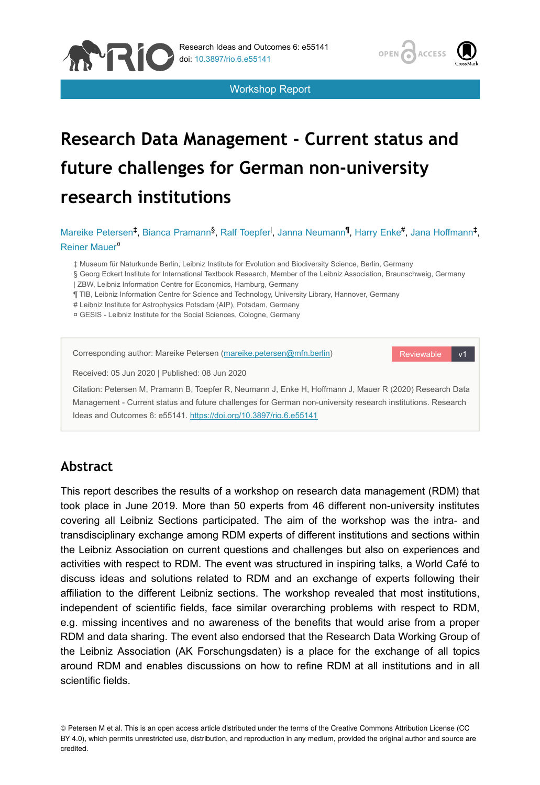

Workshop Report



# **Research Data Management - Current status and future challenges for German non-university research institutions**

Mareike Petersen<sup>‡</sup>, Bianca Pramann<sup>§</sup>, Ralf Toepfer<sup>1</sup>, Janna Neumann<sup>¶</sup>, Harry Enke#, Jana Hoffmann<sup>‡</sup>, Reiner Mauer<sup>¤</sup>

‡ Museum für Naturkunde Berlin, Leibniz Institute for Evolution and Biodiversity Science, Berlin, Germany

- § Georg Eckert Institute for International Textbook Research, Member of the Leibniz Association, Braunschweig, Germany
- | ZBW, Leibniz Information Centre for Economics, Hamburg, Germany
- ¶ TIB, Leibniz Information Centre for Science and Technology, University Library, Hannover, Germany
- # Leibniz Institute for Astrophysics Potsdam (AIP), Potsdam, Germany
- ¤ GESIS Leibniz Institute for the Social Sciences, Cologne, Germany

# **Abstract**

This report describes the results of a workshop on research data management (RDM) that took place in June 2019. More than 50 experts from 46 different non-university institutes covering all Leibniz Sections participated. The aim of the workshop was the intra- and transdisciplinary exchange among RDM experts of different institutions and sections within the Leibniz Association on current questions and challenges but also on experiences and activities with respect to RDM. The event was structured in inspiring talks, a World Café to discuss ideas and solutions related to RDM and an exchange of experts following their affiliation to the different Leibniz sections. The workshop revealed that most institutions, independent of scientific fields, face similar overarching problems with respect to RDM, e.g. missing incentives and no awareness of the benefits that would arise from a proper RDM and data sharing. The event also endorsed that the Research Data Working Group of the Leibniz Association (AK Forschungsdaten) is a place for the exchange of all topics around RDM and enables discussions on how to refine RDM at all institutions and in all scientific fields.

© Petersen M et al. This is an open access article distributed under the terms of the Creative Commons Attribution License (CC BY 4.0), which permits unrestricted use, distribution, and reproduction in any medium, provided the original author and source are credited.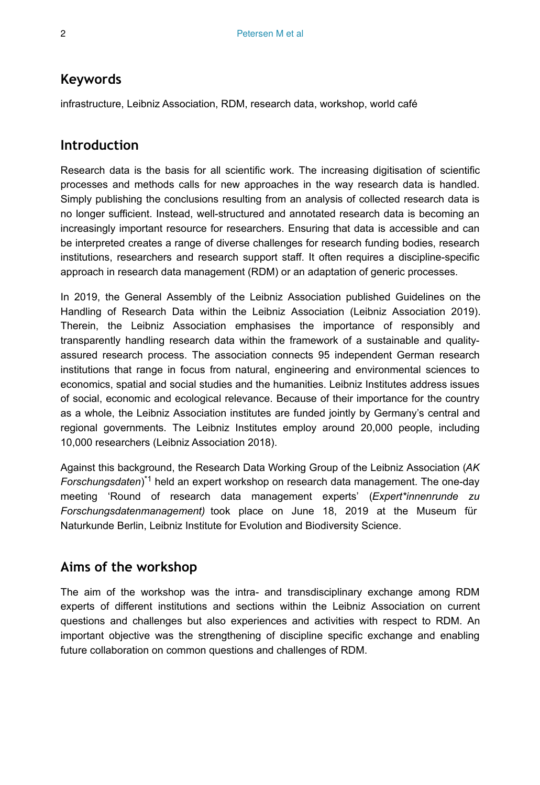# **Keywords**

infrastructure, Leibniz Association, RDM, research data, workshop, world café

## **Introduction**

Research data is the basis for all scientific work. The increasing digitisation of scientific processes and methods calls for new approaches in the way research data is handled. Simply publishing the conclusions resulting from an analysis of collected research data is no longer sufficient. Instead, well-structured and annotated research data is becoming an increasingly important resource for researchers. Ensuring that data is accessible and can be interpreted creates a range of diverse challenges for research funding bodies, research institutions, researchers and research support staff. It often requires a discipline-specific approach in research data management (RDM) or an adaptation of generic processes.

In 2019, the General Assembly of the Leibniz Association published Guidelines on the Handling of Research Data within the Leibniz Association (Leibniz Association 2019). Therein, the Leibniz Association emphasises the importance of responsibly and transparently handling research data within the framework of a sustainable and qualityassured research process. The association connects 95 independent German research institutions that range in focus from natural, engineering and environmental sciences to economics, spatial and social studies and the humanities. Leibniz Institutes address issues of social, economic and ecological relevance. Because of their importance for the country as a whole, the Leibniz Association institutes are funded jointly by Germany's central and regional governments. The Leibniz Institutes employ around 20,000 people, including 10,000 researchers (Leibniz Association 2018).

Against this background, the Research Data Working Group of the Leibniz Association (*AK* Forschungsdaten)<sup>\*1</sup> held an expert workshop on research data management. The one-day meeting 'Round of research data management experts' (*Expert\*innenrunde zu Forschungsdatenmanagement)* took place on June 18, 2019 at the Museum für Naturkunde Berlin, Leibniz Institute for Evolution and Biodiversity Science.

# **Aims of the workshop**

The aim of the workshop was the intra- and transdisciplinary exchange among RDM experts of different institutions and sections within the Leibniz Association on current questions and challenges but also experiences and activities with respect to RDM. An important objective was the strengthening of discipline specific exchange and enabling future collaboration on common questions and challenges of RDM.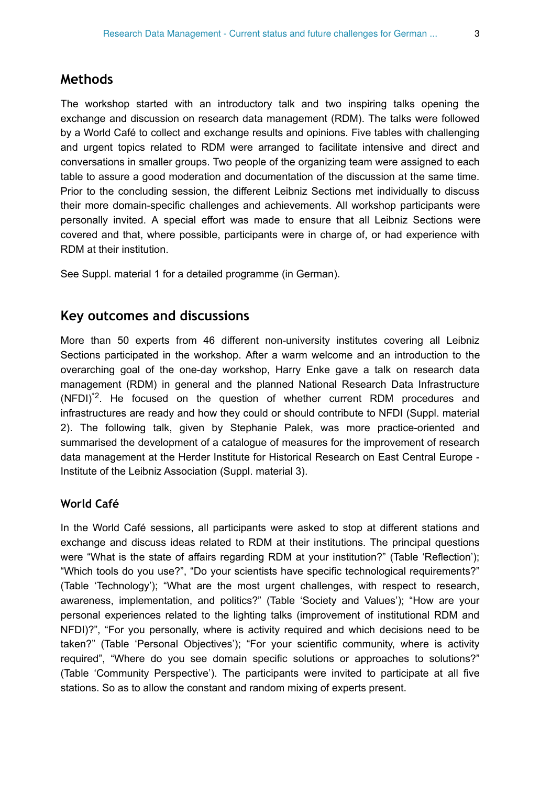## **Methods**

The workshop started with an introductory talk and two inspiring talks opening the exchange and discussion on research data management (RDM). The talks were followed by a World Café to collect and exchange results and opinions. Five tables with challenging and urgent topics related to RDM were arranged to facilitate intensive and direct and conversations in smaller groups. Two people of the organizing team were assigned to each table to assure a good moderation and documentation of the discussion at the same time. Prior to the concluding session, the different Leibniz Sections met individually to discuss their more domain-specific challenges and achievements. All workshop participants were personally invited. A special effort was made to ensure that all Leibniz Sections were covered and that, where possible, participants were in charge of, or had experience with RDM at their institution.

See Suppl. material 1 for a detailed programme (in German).

## **Key outcomes and discussions**

More than 50 experts from 46 different non-university institutes covering all Leibniz Sections participated in the workshop. After a warm welcome and an introduction to the overarching goal of the one-day workshop, Harry Enke gave a talk on research data management (RDM) in general and the planned National Research Data Infrastructure  $(NFDI)^2$ . He focused on the question of whether current RDM procedures and infrastructures are ready and how they could or should contribute to NFDI (Suppl. material 2). The following talk, given by Stephanie Palek, was more practice-oriented and summarised the development of a catalogue of measures for the improvement of research data management at the Herder Institute for Historical Research on East Central Europe - Institute of the Leibniz Association (Suppl. material 3).

#### **World Café**

In the World Café sessions, all participants were asked to stop at different stations and exchange and discuss ideas related to RDM at their institutions. The principal questions were "What is the state of affairs regarding RDM at your institution?" (Table 'Reflection'); "Which tools do you use?", "Do your scientists have specific technological requirements?" (Table 'Technology'); "What are the most urgent challenges, with respect to research, awareness, implementation, and politics?" (Table 'Society and Values'); "How are your personal experiences related to the lighting talks (improvement of institutional RDM and NFDI)?", "For you personally, where is activity required and which decisions need to be taken?" (Table 'Personal Objectives'); "For your scientific community, where is activity required", "Where do you see domain specific solutions or approaches to solutions?" (Table 'Community Perspective'). The participants were invited to participate at all five stations. So as to allow the constant and random mixing of experts present.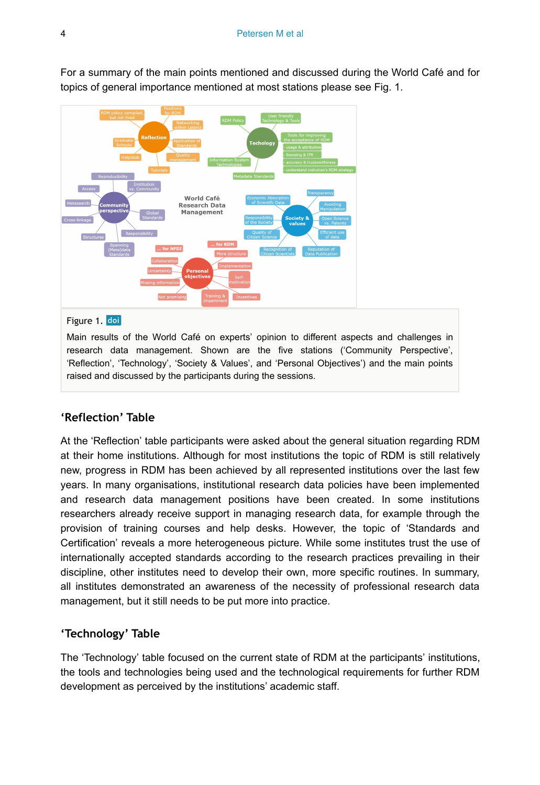

For a summary of the main points mentioned and discussed during the World Café and for topics of general importance mentioned at most stations please see Fig. 1.

#### Figure 1. doi

Main results of the World Café on experts' opinion to different aspects and challenges in research data management. Shown are the five stations ('Community Perspective', 'Reflection', 'Technology', 'Society & Values', and 'Personal Objectives') and the main points raised and discussed by the participants during the sessions.

## **'Reflection' Table**

At the 'Reflection' table participants were asked about the general situation regarding RDM at their home institutions. Although for most institutions the topic of RDM is still relatively new, progress in RDM has been achieved by all represented institutions over the last few years. In many organisations, institutional research data policies have been implemented and research data management positions have been created. In some institutions researchers already receive support in managing research data, for example through the provision of training courses and help desks. However, the topic of 'Standards and Certification' reveals a more heterogeneous picture. While some institutes trust the use of internationally accepted standards according to the research practices prevailing in their discipline, other institutes need to develop their own, more specific routines. In summary, all institutes demonstrated an awareness of the necessity of professional research data management, but it still needs to be put more into practice.

#### **'Technology' Table**

The 'Technology' table focused on the current state of RDM at the participants' institutions, the tools and technologies being used and the technological requirements for further RDM development as perceived by the institutions' academic staff.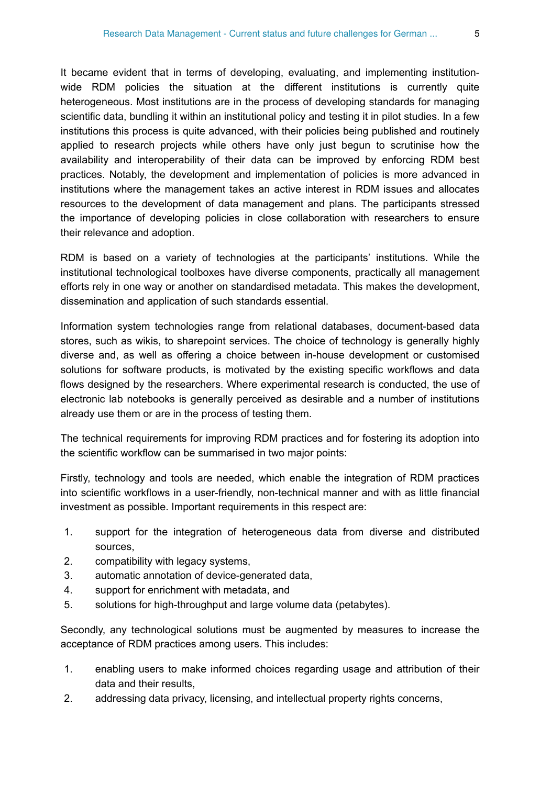It became evident that in terms of developing, evaluating, and implementing institutionwide RDM policies the situation at the different institutions is currently quite heterogeneous. Most institutions are in the process of developing standards for managing scientific data, bundling it within an institutional policy and testing it in pilot studies. In a few institutions this process is quite advanced, with their policies being published and routinely applied to research projects while others have only just begun to scrutinise how the availability and interoperability of their data can be improved by enforcing RDM best practices. Notably, the development and implementation of policies is more advanced in institutions where the management takes an active interest in RDM issues and allocates resources to the development of data management and plans. The participants stressed the importance of developing policies in close collaboration with researchers to ensure their relevance and adoption.

RDM is based on a variety of technologies at the participants' institutions. While the institutional technological toolboxes have diverse components, practically all management efforts rely in one way or another on standardised metadata. This makes the development, dissemination and application of such standards essential.

Information system technologies range from relational databases, document-based data stores, such as wikis, to sharepoint services. The choice of technology is generally highly diverse and, as well as offering a choice between in-house development or customised solutions for software products, is motivated by the existing specific workflows and data flows designed by the researchers. Where experimental research is conducted, the use of electronic lab notebooks is generally perceived as desirable and a number of institutions already use them or are in the process of testing them.

The technical requirements for improving RDM practices and for fostering its adoption into the scientific workflow can be summarised in two major points:

Firstly, technology and tools are needed, which enable the integration of RDM practices into scientific workflows in a user-friendly, non-technical manner and with as little financial investment as possible. Important requirements in this respect are:

- 1. support for the integration of heterogeneous data from diverse and distributed sources,
- 2. compatibility with legacy systems,
- 3. automatic annotation of device-generated data,
- 4. support for enrichment with metadata, and
- 5. solutions for high-throughput and large volume data (petabytes).

Secondly, any technological solutions must be augmented by measures to increase the acceptance of RDM practices among users. This includes:

- 1. enabling users to make informed choices regarding usage and attribution of their data and their results,
- 2. addressing data privacy, licensing, and intellectual property rights concerns,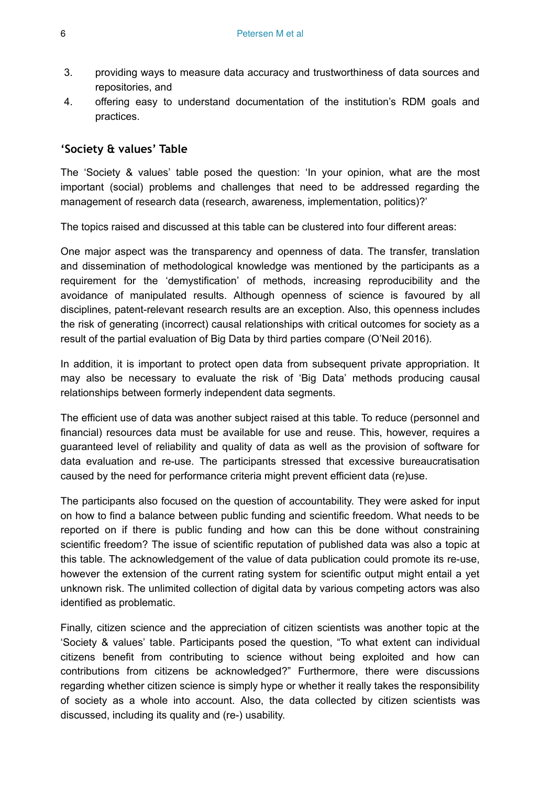- 3. providing ways to measure data accuracy and trustworthiness of data sources and repositories, and
- 4. offering easy to understand documentation of the institution's RDM goals and practices.

#### **'Society & values' Table**

The 'Society & values' table posed the question: 'In your opinion, what are the most important (social) problems and challenges that need to be addressed regarding the management of research data (research, awareness, implementation, politics)?'

The topics raised and discussed at this table can be clustered into four different areas:

One major aspect was the transparency and openness of data. The transfer, translation and dissemination of methodological knowledge was mentioned by the participants as a requirement for the 'demystification' of methods, increasing reproducibility and the avoidance of manipulated results. Although openness of science is favoured by all disciplines, patent-relevant research results are an exception. Also, this openness includes the risk of generating (incorrect) causal relationships with critical outcomes for society as a result of the partial evaluation of Big Data by third parties compare (O'Neil 2016).

In addition, it is important to protect open data from subsequent private appropriation. It may also be necessary to evaluate the risk of 'Big Data' methods producing causal relationships between formerly independent data segments.

The efficient use of data was another subject raised at this table. To reduce (personnel and financial) resources data must be available for use and reuse. This, however, requires a guaranteed level of reliability and quality of data as well as the provision of software for data evaluation and re-use. The participants stressed that excessive bureaucratisation caused by the need for performance criteria might prevent efficient data (re)use.

The participants also focused on the question of accountability. They were asked for input on how to find a balance between public funding and scientific freedom. What needs to be reported on if there is public funding and how can this be done without constraining scientific freedom? The issue of scientific reputation of published data was also a topic at this table. The acknowledgement of the value of data publication could promote its re-use, however the extension of the current rating system for scientific output might entail a yet unknown risk. The unlimited collection of digital data by various competing actors was also identified as problematic.

Finally, citizen science and the appreciation of citizen scientists was another topic at the 'Society & values' table. Participants posed the question, "To what extent can individual citizens benefit from contributing to science without being exploited and how can contributions from citizens be acknowledged?" Furthermore, there were discussions regarding whether citizen science is simply hype or whether it really takes the responsibility of society as a whole into account. Also, the data collected by citizen scientists was discussed, including its quality and (re-) usability.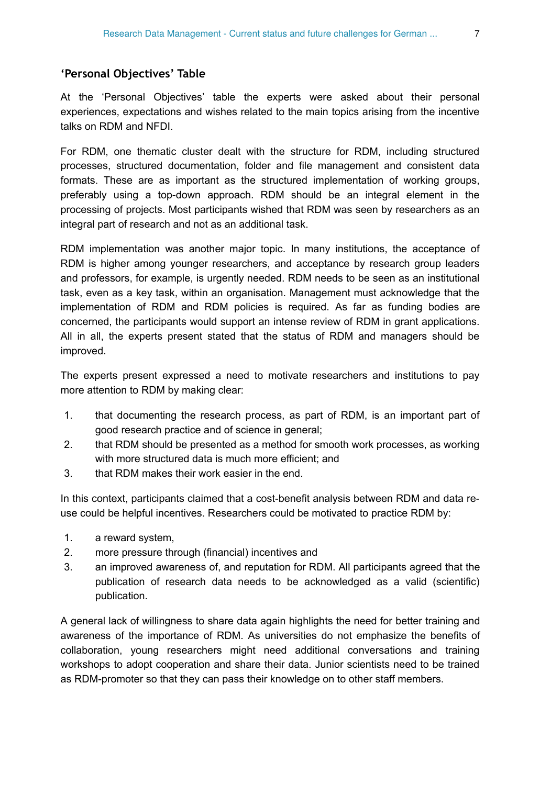#### **'Personal Objectives' Table**

At the 'Personal Objectives' table the experts were asked about their personal experiences, expectations and wishes related to the main topics arising from the incentive talks on RDM and NFDI.

For RDM, one thematic cluster dealt with the structure for RDM, including structured processes, structured documentation, folder and file management and consistent data formats. These are as important as the structured implementation of working groups, preferably using a top-down approach. RDM should be an integral element in the processing of projects. Most participants wished that RDM was seen by researchers as an integral part of research and not as an additional task.

RDM implementation was another major topic. In many institutions, the acceptance of RDM is higher among younger researchers, and acceptance by research group leaders and professors, for example, is urgently needed. RDM needs to be seen as an institutional task, even as a key task, within an organisation. Management must acknowledge that the implementation of RDM and RDM policies is required. As far as funding bodies are concerned, the participants would support an intense review of RDM in grant applications. All in all, the experts present stated that the status of RDM and managers should be improved.

The experts present expressed a need to motivate researchers and institutions to pay more attention to RDM by making clear:

- 1. that documenting the research process, as part of RDM, is an important part of good research practice and of science in general;
- 2. that RDM should be presented as a method for smooth work processes, as working with more structured data is much more efficient; and
- 3. that RDM makes their work easier in the end.

In this context, participants claimed that a cost-benefit analysis between RDM and data reuse could be helpful incentives. Researchers could be motivated to practice RDM by:

- 1. a reward system,
- 2. more pressure through (financial) incentives and
- 3. an improved awareness of, and reputation for RDM. All participants agreed that the publication of research data needs to be acknowledged as a valid (scientific) publication.

A general lack of willingness to share data again highlights the need for better training and awareness of the importance of RDM. As universities do not emphasize the benefits of collaboration, young researchers might need additional conversations and training workshops to adopt cooperation and share their data. Junior scientists need to be trained as RDM-promoter so that they can pass their knowledge on to other staff members.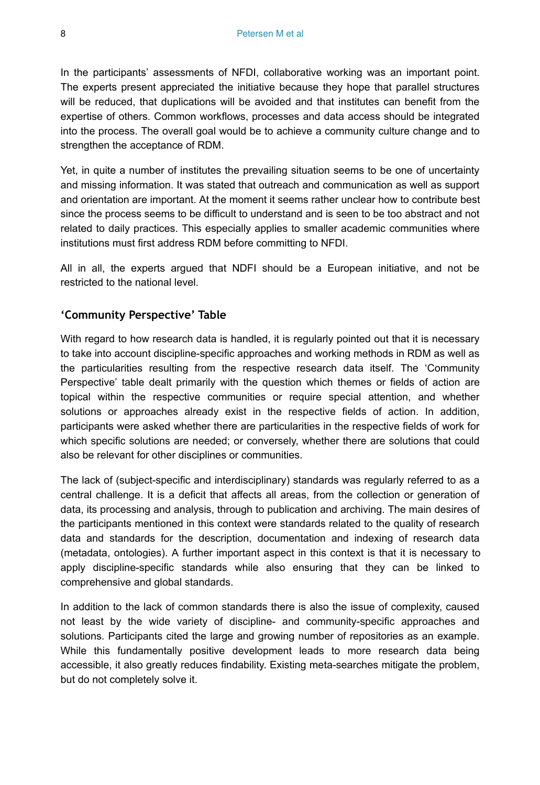In the participants' assessments of NFDI, collaborative working was an important point. The experts present appreciated the initiative because they hope that parallel structures will be reduced, that duplications will be avoided and that institutes can benefit from the expertise of others. Common workflows, processes and data access should be integrated into the process. The overall goal would be to achieve a community culture change and to strengthen the acceptance of RDM.

Yet, in quite a number of institutes the prevailing situation seems to be one of uncertainty and missing information. It was stated that outreach and communication as well as support and orientation are important. At the moment it seems rather unclear how to contribute best since the process seems to be difficult to understand and is seen to be too abstract and not related to daily practices. This especially applies to smaller academic communities where institutions must first address RDM before committing to NFDI.

All in all, the experts argued that NDFI should be a European initiative, and not be restricted to the national level.

#### **'Community Perspective' Table**

With regard to how research data is handled, it is regularly pointed out that it is necessary to take into account discipline-specific approaches and working methods in RDM as well as the particularities resulting from the respective research data itself. The 'Community Perspective' table dealt primarily with the question which themes or fields of action are topical within the respective communities or require special attention, and whether solutions or approaches already exist in the respective fields of action. In addition, participants were asked whether there are particularities in the respective fields of work for which specific solutions are needed; or conversely, whether there are solutions that could also be relevant for other disciplines or communities.

The lack of (subject-specific and interdisciplinary) standards was regularly referred to as a central challenge. It is a deficit that affects all areas, from the collection or generation of data, its processing and analysis, through to publication and archiving. The main desires of the participants mentioned in this context were standards related to the quality of research data and standards for the description, documentation and indexing of research data (metadata, ontologies). A further important aspect in this context is that it is necessary to apply discipline-specific standards while also ensuring that they can be linked to comprehensive and global standards.

In addition to the lack of common standards there is also the issue of complexity, caused not least by the wide variety of discipline- and community-specific approaches and solutions. Participants cited the large and growing number of repositories as an example. While this fundamentally positive development leads to more research data being accessible, it also greatly reduces findability. Existing meta-searches mitigate the problem, but do not completely solve it.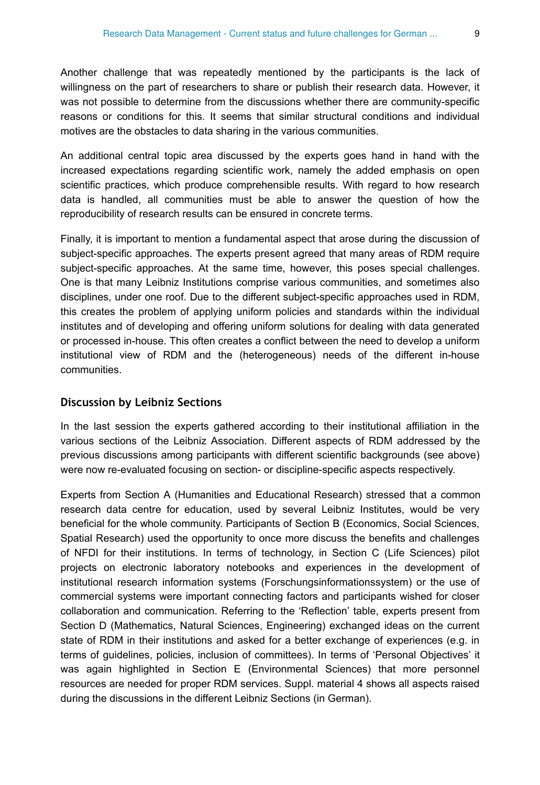Another challenge that was repeatedly mentioned by the participants is the lack of willingness on the part of researchers to share or publish their research data. However, it was not possible to determine from the discussions whether there are community-specific reasons or conditions for this. It seems that similar structural conditions and individual motives are the obstacles to data sharing in the various communities.

An additional central topic area discussed by the experts goes hand in hand with the increased expectations regarding scientific work, namely the added emphasis on open scientific practices, which produce comprehensible results. With regard to how research data is handled, all communities must be able to answer the question of how the reproducibility of research results can be ensured in concrete terms.

Finally, it is important to mention a fundamental aspect that arose during the discussion of subject-specific approaches. The experts present agreed that many areas of RDM require subject-specific approaches. At the same time, however, this poses special challenges. One is that many Leibniz Institutions comprise various communities, and sometimes also disciplines, under one roof. Due to the different subject-specific approaches used in RDM, this creates the problem of applying uniform policies and standards within the individual institutes and of developing and offering uniform solutions for dealing with data generated or processed in-house. This often creates a conflict between the need to develop a uniform institutional view of RDM and the (heterogeneous) needs of the different in-house communities.

#### **Discussion by Leibniz Sections**

In the last session the experts gathered according to their institutional affiliation in the various sections of the Leibniz Association. Different aspects of RDM addressed by the previous discussions among participants with different scientific backgrounds (see above) were now re-evaluated focusing on section- or discipline-specific aspects respectively.

Experts from Section A (Humanities and Educational Research) stressed that a common research data centre for education, used by several Leibniz Institutes, would be very beneficial for the whole community. Participants of Section B (Economics, Social Sciences, Spatial Research) used the opportunity to once more discuss the benefits and challenges of NFDI for their institutions. In terms of technology, in Section C (Life Sciences) pilot projects on electronic laboratory notebooks and experiences in the development of institutional research information systems (Forschungsinformationssystem) or the use of commercial systems were important connecting factors and participants wished for closer collaboration and communication. Referring to the 'Reflection' table, experts present from Section D (Mathematics, Natural Sciences, Engineering) exchanged ideas on the current state of RDM in their institutions and asked for a better exchange of experiences (e.g. in terms of guidelines, policies, inclusion of committees). In terms of 'Personal Objectives' it was again highlighted in Section E (Environmental Sciences) that more personnel resources are needed for proper RDM services. Suppl. material 4 shows all aspects raised during the discussions in the different Leibniz Sections (in German).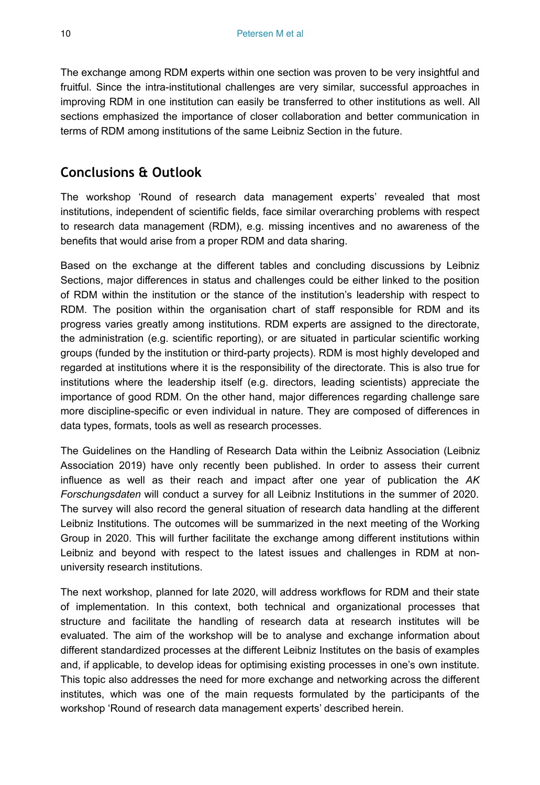The exchange among RDM experts within one section was proven to be very insightful and fruitful. Since the intra-institutional challenges are very similar, successful approaches in improving RDM in one institution can easily be transferred to other institutions as well. All sections emphasized the importance of closer collaboration and better communication in terms of RDM among institutions of the same Leibniz Section in the future.

## **Conclusions & Outlook**

The workshop 'Round of research data management experts' revealed that most institutions, independent of scientific fields, face similar overarching problems with respect to research data management (RDM), e.g. missing incentives and no awareness of the benefits that would arise from a proper RDM and data sharing.

Based on the exchange at the different tables and concluding discussions by Leibniz Sections, major differences in status and challenges could be either linked to the position of RDM within the institution or the stance of the institution's leadership with respect to RDM. The position within the organisation chart of staff responsible for RDM and its progress varies greatly among institutions. RDM experts are assigned to the directorate, the administration (e.g. scientific reporting), or are situated in particular scientific working groups (funded by the institution or third-party projects). RDM is most highly developed and regarded at institutions where it is the responsibility of the directorate. This is also true for institutions where the leadership itself (e.g. directors, leading scientists) appreciate the importance of good RDM. On the other hand, major differences regarding challenge sare more discipline-specific or even individual in nature. They are composed of differences in data types, formats, tools as well as research processes.

The Guidelines on the Handling of Research Data within the Leibniz Association (Leibniz Association 2019) have only recently been published. In order to assess their current influence as well as their reach and impact after one year of publication the *AK Forschungsdaten* will conduct a survey for all Leibniz Institutions in the summer of 2020. The survey will also record the general situation of research data handling at the different Leibniz Institutions. The outcomes will be summarized in the next meeting of the Working Group in 2020. This will further facilitate the exchange among different institutions within Leibniz and beyond with respect to the latest issues and challenges in RDM at nonuniversity research institutions.

The next workshop, planned for late 2020, will address workflows for RDM and their state of implementation. In this context, both technical and organizational processes that structure and facilitate the handling of research data at research institutes will be evaluated. The aim of the workshop will be to analyse and exchange information about different standardized processes at the different Leibniz Institutes on the basis of examples and, if applicable, to develop ideas for optimising existing processes in one's own institute. This topic also addresses the need for more exchange and networking across the different institutes, which was one of the main requests formulated by the participants of the workshop 'Round of research data management experts' described herein.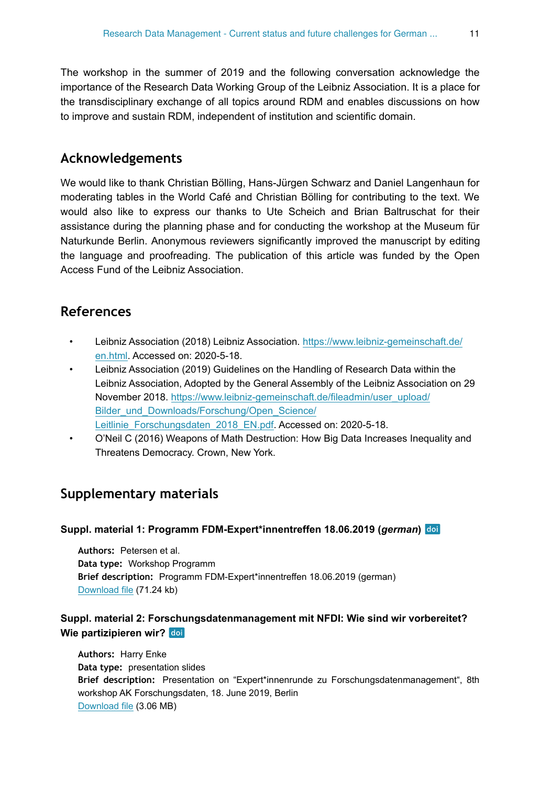The workshop in the summer of 2019 and the following conversation acknowledge the importance of the Research Data Working Group of the Leibniz Association. It is a place for the transdisciplinary exchange of all topics around RDM and enables discussions on how to improve and sustain RDM, independent of institution and scientific domain.

## **Acknowledgements**

We would like to thank Christian Bölling, Hans-Jürgen Schwarz and Daniel Langenhaun for moderating tables in the World Café and Christian Bölling for contributing to the text. We would also like to express our thanks to Ute Scheich and Brian Baltruschat for their assistance during the planning phase and for conducting the workshop at the Museum für Naturkunde Berlin. Anonymous reviewers significantly improved the manuscript by editing the language and proofreading. The publication of this article was funded by the Open Access Fund of the Leibniz Association.

## **References**

- Leibniz Association (2018) Leibniz Association. [https://www.leibniz-gemeinschaft.de/](https://www.leibniz-gemeinschaft.de/en.html) [en.html](https://www.leibniz-gemeinschaft.de/en.html). Accessed on: 2020-5-18.
- Leibniz Association (2019) Guidelines on the Handling of Research Data within the Leibniz Association, Adopted by the General Assembly of the Leibniz Association on 29 November 2018. [https://www.leibniz-gemeinschaft.de/fileadmin/user\\_upload/](https://www.leibniz-gemeinschaft.de/fileadmin/user_upload/Bilder_und_Downloads/Forschung/Open_Science/Leitlinie_Forschungsdaten_2018_EN.pdf) [Bilder\\_und\\_Downloads/Forschung/Open\\_Science/](https://www.leibniz-gemeinschaft.de/fileadmin/user_upload/Bilder_und_Downloads/Forschung/Open_Science/Leitlinie_Forschungsdaten_2018_EN.pdf) [Leitlinie\\_Forschungsdaten\\_2018\\_EN.pdf.](https://www.leibniz-gemeinschaft.de/fileadmin/user_upload/Bilder_und_Downloads/Forschung/Open_Science/Leitlinie_Forschungsdaten_2018_EN.pdf) Accessed on: 2020-5-18.
- O'Neil C (2016) Weapons of Math Destruction: How Big Data Increases Inequality and Threatens Democracy. Crown, New York.

# **Supplementary materials**

#### **Suppl. material 1: Programm FDM-Expert\*innentreffen 18.06.2019 (***german***)**

**Authors:** Petersen et al. **Data type:** Workshop Programm **Brief description:** Programm FDM-Expert\*innentreffen 18.06.2019 (german) [Download file](https://arpha.pensoft.net/getfile.php?filename=oo_411246.pdf) (71.24 kb)

#### **Suppl. material 2: Forschungsdatenmanagement mit NFDI: Wie sind wir vorbereitet? Wie partizipieren wir?**

**Authors:** Harry Enke **Data type:** presentation slides **Brief description:** Presentation on "Expert\*innenrunde zu Forschungsdatenmanagement", 8th workshop AK Forschungsdaten, 18. June 2019, Berlin [Download file](https://arpha.pensoft.net/getfile.php?filename=oo_411243.pdf) (3.06 MB)